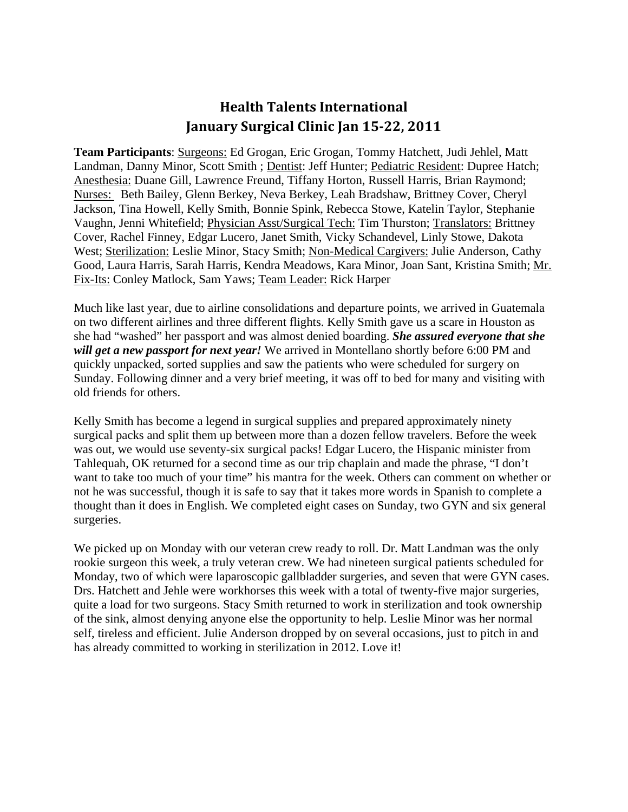## **Health Talents International January Surgical Clinic Jan 15‐22, 2011**

**Team Participants**: Surgeons: Ed Grogan, Eric Grogan, Tommy Hatchett, Judi Jehlel, Matt Landman, Danny Minor, Scott Smith ; Dentist: Jeff Hunter; Pediatric Resident: Dupree Hatch; Anesthesia: Duane Gill, Lawrence Freund, Tiffany Horton, Russell Harris, Brian Raymond; Nurses: Beth Bailey, Glenn Berkey, Neva Berkey, Leah Bradshaw, Brittney Cover, Cheryl Jackson, Tina Howell, Kelly Smith, Bonnie Spink, Rebecca Stowe, Katelin Taylor, Stephanie Vaughn, Jenni Whitefield; Physician Asst/Surgical Tech: Tim Thurston; Translators: Brittney Cover, Rachel Finney, Edgar Lucero, Janet Smith, Vicky Schandevel, Linly Stowe, Dakota West; Sterilization: Leslie Minor, Stacy Smith; Non-Medical Cargivers: Julie Anderson, Cathy Good, Laura Harris, Sarah Harris, Kendra Meadows, Kara Minor, Joan Sant, Kristina Smith; Mr. Fix-Its: Conley Matlock, Sam Yaws; Team Leader: Rick Harper

Much like last year, due to airline consolidations and departure points, we arrived in Guatemala on two different airlines and three different flights. Kelly Smith gave us a scare in Houston as she had "washed" her passport and was almost denied boarding. *She assured everyone that she will get a new passport for next year!* We arrived in Montellano shortly before 6:00 PM and quickly unpacked, sorted supplies and saw the patients who were scheduled for surgery on Sunday. Following dinner and a very brief meeting, it was off to bed for many and visiting with old friends for others.

Kelly Smith has become a legend in surgical supplies and prepared approximately ninety surgical packs and split them up between more than a dozen fellow travelers. Before the week was out, we would use seventy-six surgical packs! Edgar Lucero, the Hispanic minister from Tahlequah, OK returned for a second time as our trip chaplain and made the phrase, "I don't want to take too much of your time" his mantra for the week. Others can comment on whether or not he was successful, though it is safe to say that it takes more words in Spanish to complete a thought than it does in English. We completed eight cases on Sunday, two GYN and six general surgeries.

We picked up on Monday with our veteran crew ready to roll. Dr. Matt Landman was the only rookie surgeon this week, a truly veteran crew. We had nineteen surgical patients scheduled for Monday, two of which were laparoscopic gallbladder surgeries, and seven that were GYN cases. Drs. Hatchett and Jehle were workhorses this week with a total of twenty-five major surgeries, quite a load for two surgeons. Stacy Smith returned to work in sterilization and took ownership of the sink, almost denying anyone else the opportunity to help. Leslie Minor was her normal self, tireless and efficient. Julie Anderson dropped by on several occasions, just to pitch in and has already committed to working in sterilization in 2012. Love it!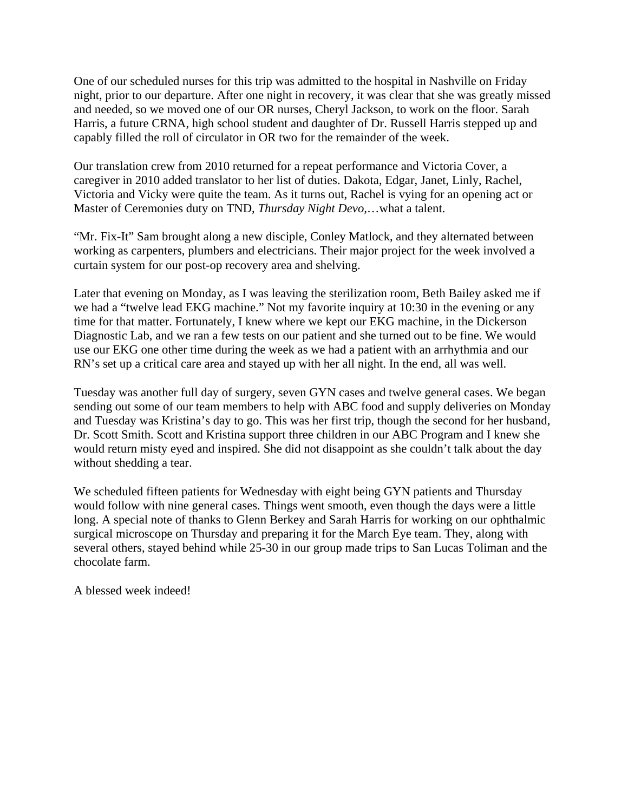One of our scheduled nurses for this trip was admitted to the hospital in Nashville on Friday night, prior to our departure. After one night in recovery, it was clear that she was greatly missed and needed, so we moved one of our OR nurses, Cheryl Jackson, to work on the floor. Sarah Harris, a future CRNA, high school student and daughter of Dr. Russell Harris stepped up and capably filled the roll of circulator in OR two for the remainder of the week.

Our translation crew from 2010 returned for a repeat performance and Victoria Cover, a caregiver in 2010 added translator to her list of duties. Dakota, Edgar, Janet, Linly, Rachel, Victoria and Vicky were quite the team. As it turns out, Rachel is vying for an opening act or Master of Ceremonies duty on TND, *Thursday Night Devo,*…what a talent.

"Mr. Fix-It" Sam brought along a new disciple, Conley Matlock, and they alternated between working as carpenters, plumbers and electricians. Their major project for the week involved a curtain system for our post-op recovery area and shelving.

Later that evening on Monday, as I was leaving the sterilization room, Beth Bailey asked me if we had a "twelve lead EKG machine." Not my favorite inquiry at 10:30 in the evening or any time for that matter. Fortunately, I knew where we kept our EKG machine, in the Dickerson Diagnostic Lab, and we ran a few tests on our patient and she turned out to be fine. We would use our EKG one other time during the week as we had a patient with an arrhythmia and our RN's set up a critical care area and stayed up with her all night. In the end, all was well.

Tuesday was another full day of surgery, seven GYN cases and twelve general cases. We began sending out some of our team members to help with ABC food and supply deliveries on Monday and Tuesday was Kristina's day to go. This was her first trip, though the second for her husband, Dr. Scott Smith. Scott and Kristina support three children in our ABC Program and I knew she would return misty eyed and inspired. She did not disappoint as she couldn't talk about the day without shedding a tear.

We scheduled fifteen patients for Wednesday with eight being GYN patients and Thursday would follow with nine general cases. Things went smooth, even though the days were a little long. A special note of thanks to Glenn Berkey and Sarah Harris for working on our ophthalmic surgical microscope on Thursday and preparing it for the March Eye team. They, along with several others, stayed behind while 25-30 in our group made trips to San Lucas Toliman and the chocolate farm.

A blessed week indeed!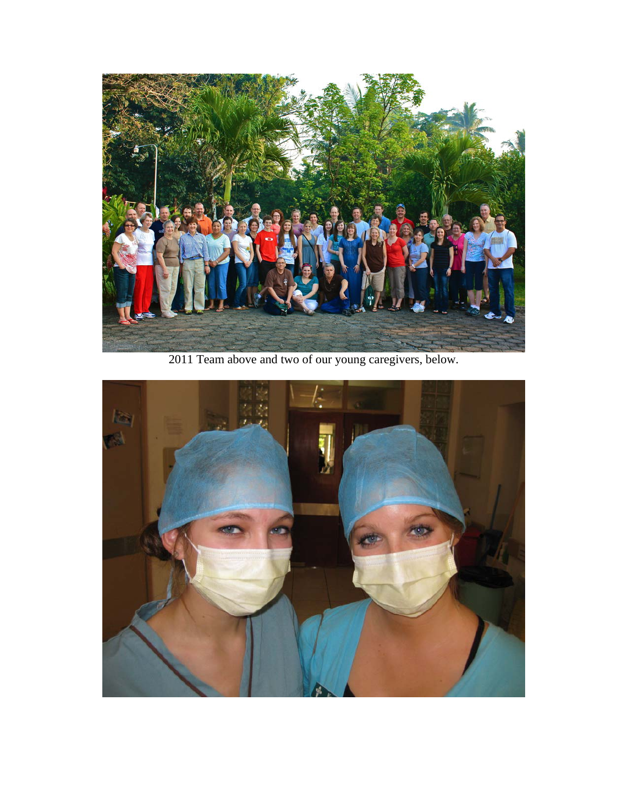

2011 Team above and two of our young caregivers, below.